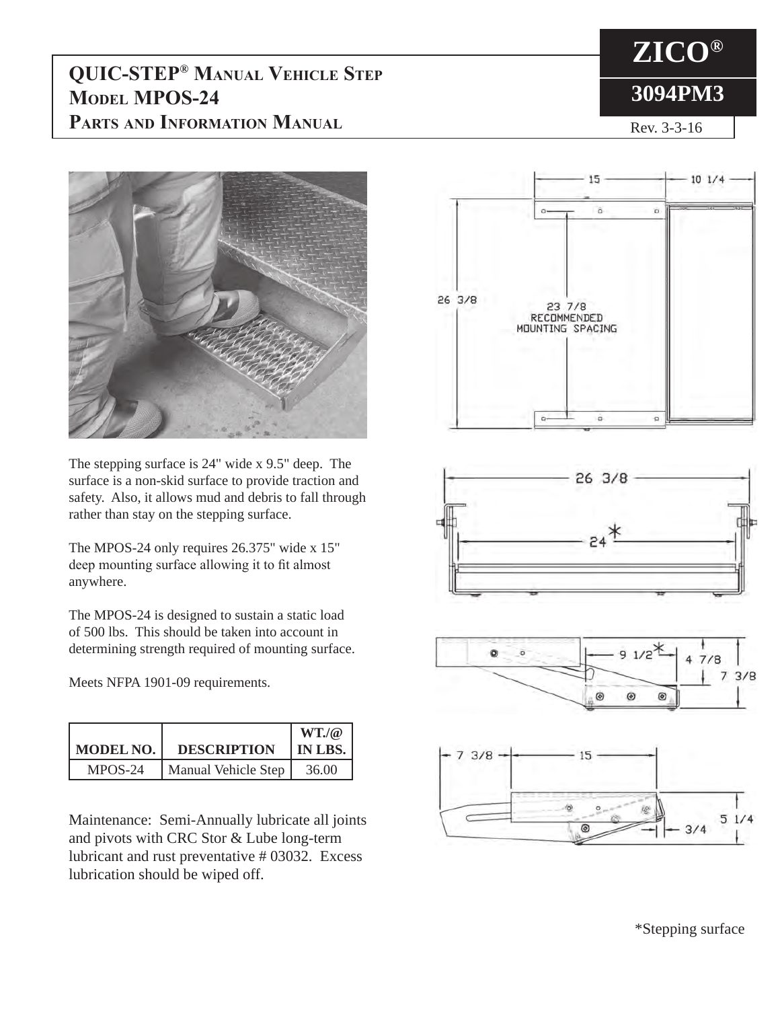## **QUIC-STEP® Manual Vehicle Step MODEL MPOS-24 Parts and Information Manual**

## **ZICO® 3094PM3**

Rev. 3-3-16



The stepping surface is 24" wide x 9.5" deep. The surface is a non-skid surface to provide traction and safety. Also, it allows mud and debris to fall through rather than stay on the stepping surface.

The MPOS-24 only requires 26.375" wide x 15" deep mounting surface allowing it to fit almost anywhere.

The MPOS-24 is designed to sustain a static load of 500 lbs. This should be taken into account in determining strength required of mounting surface.

Meets NFPA 1901-09 requirements.

|           |                     | $WT.$ ( $@$ |
|-----------|---------------------|-------------|
| MODEL NO. | <b>DESCRIPTION</b>  | IN LBS.     |
| MPOS-24   | Manual Vehicle Step | 36.00       |

Maintenance: Semi-Annually lubricate all joints and pivots with CRC Stor & Lube long-term lubricant and rust preventative # 03032. Excess lubrication should be wiped off.



\*Stepping surface